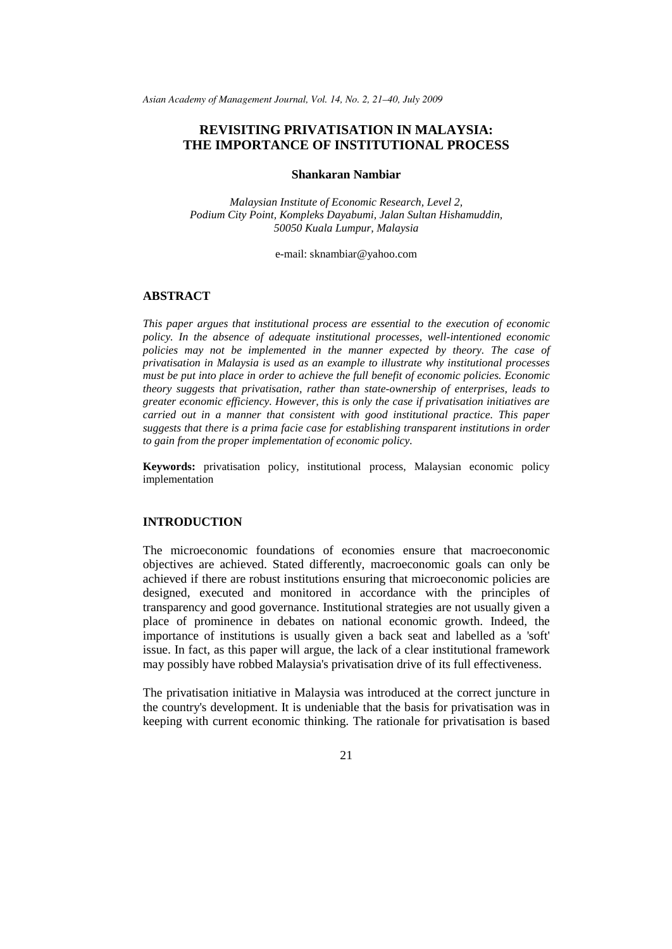*Asian Academy of Management Journal, Vol. 14, No. 2, 21–40, July 2009*

# **REVISITING PRIVATISATION IN MALAYSIA: THE IMPORTANCE OF INSTITUTIONAL PROCESS**

### **Shankaran Nambiar**

*Malaysian Institute of Economic Research, Level 2, Podium City Point, Kompleks Dayabumi, Jalan Sultan Hishamuddin, 50050 Kuala Lumpur, Malaysia*

e-mail: sknambiar@yahoo.com

## **ABSTRACT**

*This paper argues that institutional process are essential to the execution of economic policy. In the absence of adequate institutional processes, well-intentioned economic policies may not be implemented in the manner expected by theory. The case of privatisation in Malaysia is used as an example to illustrate why institutional processes must be put into place in order to achieve the full benefit of economic policies. Economic theory suggests that privatisation, rather than state-ownership of enterprises, leads to greater economic efficiency. However, this is only the case if privatisation initiatives are carried out in a manner that consistent with good institutional practice. This paper suggests that there is a prima facie case for establishing transparent institutions in order to gain from the proper implementation of economic policy.*

**Keywords:** privatisation policy, institutional process, Malaysian economic policy implementation

### **INTRODUCTION**

The microeconomic foundations of economies ensure that macroeconomic objectives are achieved. Stated differently, macroeconomic goals can only be achieved if there are robust institutions ensuring that microeconomic policies are designed, executed and monitored in accordance with the principles of transparency and good governance. Institutional strategies are not usually given a place of prominence in debates on national economic growth. Indeed, the importance of institutions is usually given a back seat and labelled as a 'soft' issue. In fact, as this paper will argue, the lack of a clear institutional framework may possibly have robbed Malaysia's privatisation drive of its full effectiveness.

The privatisation initiative in Malaysia was introduced at the correct juncture in the country's development. It is undeniable that the basis for privatisation was in keeping with current economic thinking. The rationale for privatisation is based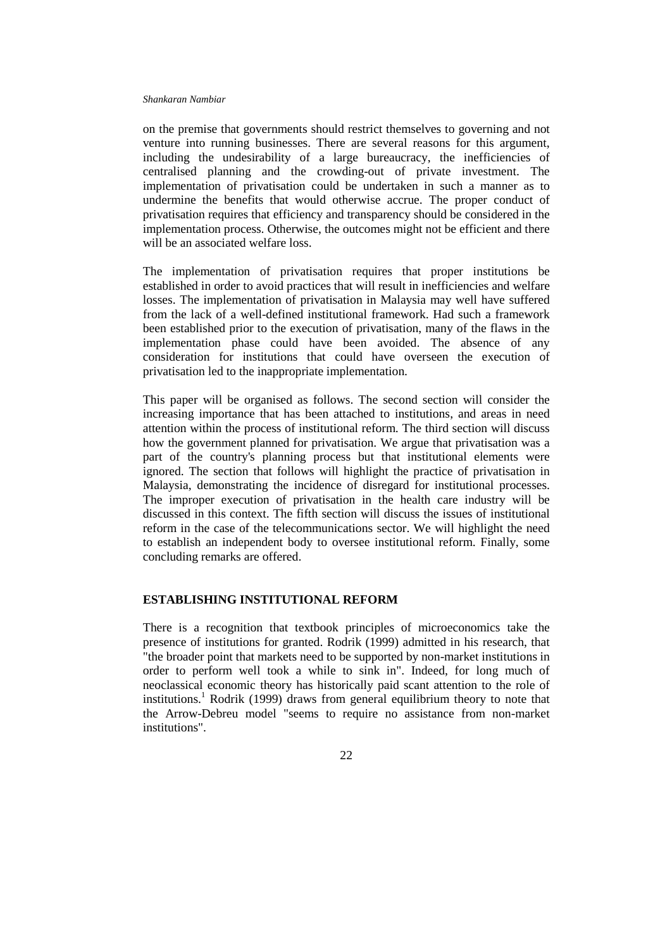on the premise that governments should restrict themselves to governing and not venture into running businesses. There are several reasons for this argument, including the undesirability of a large bureaucracy, the inefficiencies of centralised planning and the crowding-out of private investment. The implementation of privatisation could be undertaken in such a manner as to undermine the benefits that would otherwise accrue. The proper conduct of privatisation requires that efficiency and transparency should be considered in the implementation process. Otherwise, the outcomes might not be efficient and there will be an associated welfare loss.

The implementation of privatisation requires that proper institutions be established in order to avoid practices that will result in inefficiencies and welfare losses. The implementation of privatisation in Malaysia may well have suffered from the lack of a well-defined institutional framework. Had such a framework been established prior to the execution of privatisation, many of the flaws in the implementation phase could have been avoided. The absence of any consideration for institutions that could have overseen the execution of privatisation led to the inappropriate implementation.

This paper will be organised as follows. The second section will consider the increasing importance that has been attached to institutions, and areas in need attention within the process of institutional reform. The third section will discuss how the government planned for privatisation. We argue that privatisation was a part of the country's planning process but that institutional elements were ignored. The section that follows will highlight the practice of privatisation in Malaysia, demonstrating the incidence of disregard for institutional processes. The improper execution of privatisation in the health care industry will be discussed in this context. The fifth section will discuss the issues of institutional reform in the case of the telecommunications sector. We will highlight the need to establish an independent body to oversee institutional reform. Finally, some concluding remarks are offered.

## **ESTABLISHING INSTITUTIONAL REFORM**

There is a recognition that textbook principles of microeconomics take the presence of institutions for granted. Rodrik (1999) admitted in his research, that "the broader point that markets need to be supported by non-market institutions in order to perform well took a while to sink in". Indeed, for long much of neoclassical economic theory has historically paid scant attention to the role of institutions. <sup>1</sup> Rodrik (1999) draws from general equilibrium theory to note that the Arrow-Debreu model "seems to require no assistance from non-market institutions".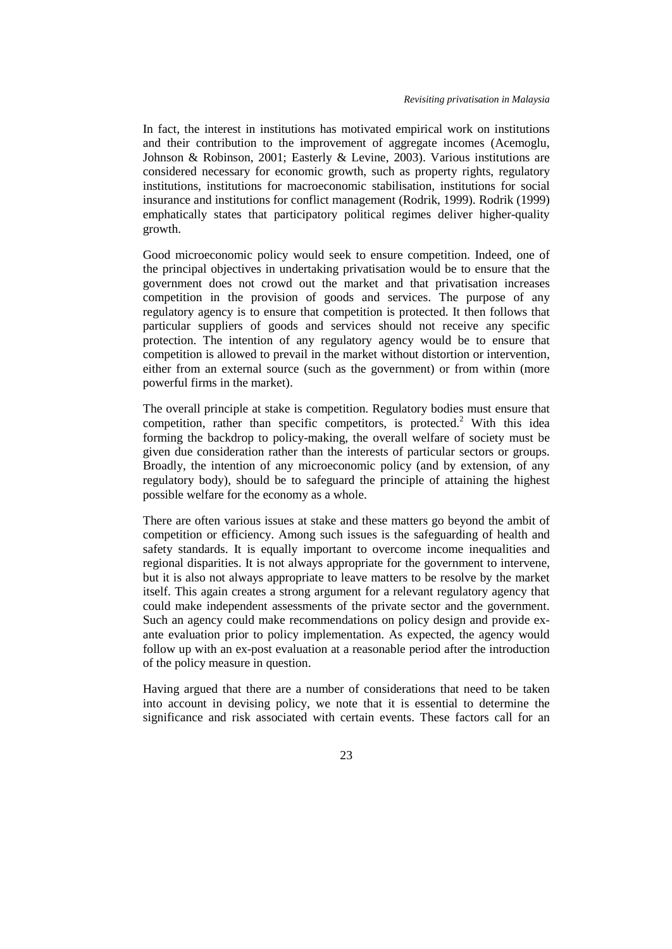In fact, the interest in institutions has motivated empirical work on institutions and their contribution to the improvement of aggregate incomes (Acemoglu, Johnson & Robinson, 2001; Easterly & Levine, 2003). Various institutions are considered necessary for economic growth, such as property rights, regulatory institutions, institutions for macroeconomic stabilisation, institutions for social insurance and institutions for conflict management (Rodrik, 1999). Rodrik (1999) emphatically states that participatory political regimes deliver higher-quality growth.

Good microeconomic policy would seek to ensure competition. Indeed, one of the principal objectives in undertaking privatisation would be to ensure that the government does not crowd out the market and that privatisation increases competition in the provision of goods and services. The purpose of any regulatory agency is to ensure that competition is protected. It then follows that particular suppliers of goods and services should not receive any specific protection. The intention of any regulatory agency would be to ensure that competition is allowed to prevail in the market without distortion or intervention, either from an external source (such as the government) or from within (more powerful firms in the market).

The overall principle at stake is competition. Regulatory bodies must ensure that competition, rather than specific competitors, is protected.<sup>2</sup> With this idea forming the backdrop to policy-making, the overall welfare of society must be given due consideration rather than the interests of particular sectors or groups. Broadly, the intention of any microeconomic policy (and by extension, of any regulatory body), should be to safeguard the principle of attaining the highest possible welfare for the economy as a whole.

There are often various issues at stake and these matters go beyond the ambit of competition or efficiency. Among such issues is the safeguarding of health and safety standards. It is equally important to overcome income inequalities and regional disparities. It is not always appropriate for the government to intervene, but it is also not always appropriate to leave matters to be resolve by the market itself. This again creates a strong argument for a relevant regulatory agency that could make independent assessments of the private sector and the government. Such an agency could make recommendations on policy design and provide exante evaluation prior to policy implementation. As expected, the agency would follow up with an ex-post evaluation at a reasonable period after the introduction of the policy measure in question.

Having argued that there are a number of considerations that need to be taken into account in devising policy, we note that it is essential to determine the significance and risk associated with certain events. These factors call for an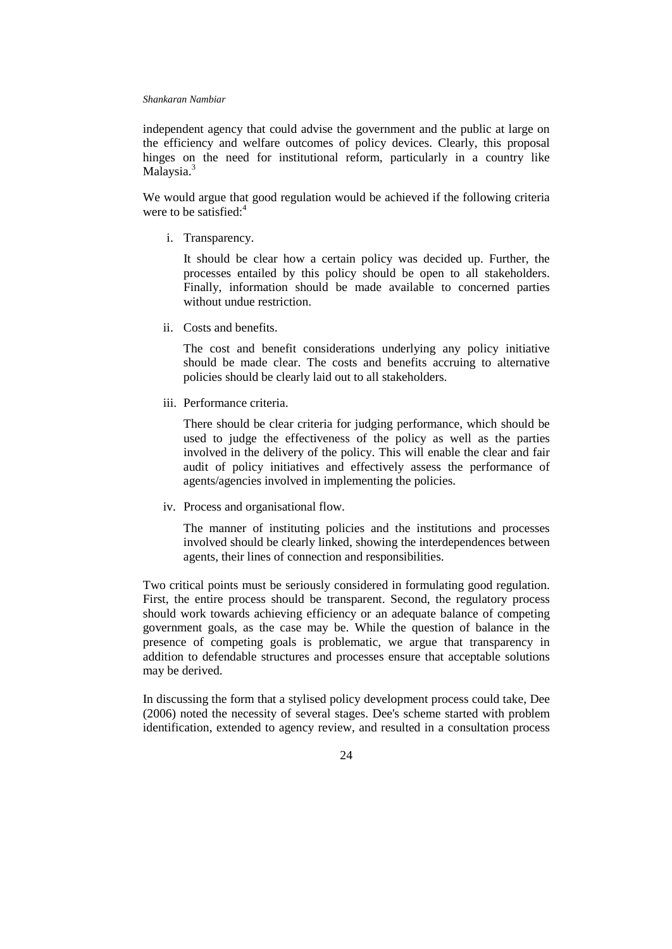independent agency that could advise the government and the public at large on the efficiency and welfare outcomes of policy devices. Clearly, this proposal hinges on the need for institutional reform, particularly in a country like Malaysia.<sup>3</sup>

We would argue that good regulation would be achieved if the following criteria were to be satisfied: 4

i. Transparency.

It should be clear how a certain policy was decided up. Further, the processes entailed by this policy should be open to all stakeholders. Finally, information should be made available to concerned parties without undue restriction.

ii. Costs and benefits.

The cost and benefit considerations underlying any policy initiative should be made clear. The costs and benefits accruing to alternative policies should be clearly laid out to all stakeholders.

iii. Performance criteria.

There should be clear criteria for judging performance, which should be used to judge the effectiveness of the policy as well as the parties involved in the delivery of the policy. This will enable the clear and fair audit of policy initiatives and effectively assess the performance of agents/agencies involved in implementing the policies.

iv. Process and organisational flow.

The manner of instituting policies and the institutions and processes involved should be clearly linked, showing the interdependences between agents, their lines of connection and responsibilities.

Two critical points must be seriously considered in formulating good regulation. First, the entire process should be transparent. Second, the regulatory process should work towards achieving efficiency or an adequate balance of competing government goals, as the case may be. While the question of balance in the presence of competing goals is problematic, we argue that transparency in addition to defendable structures and processes ensure that acceptable solutions may be derived.

In discussing the form that a stylised policy development process could take, Dee (2006) noted the necessity of several stages. Dee's scheme started with problem identification, extended to agency review, and resulted in a consultation process

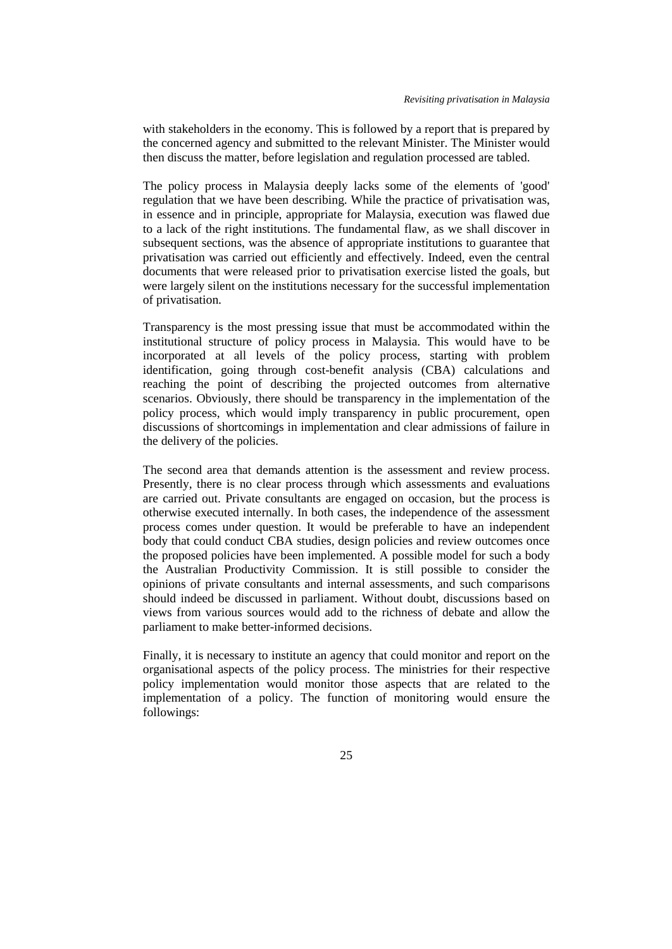with stakeholders in the economy. This is followed by a report that is prepared by the concerned agency and submitted to the relevant Minister. The Minister would then discuss the matter, before legislation and regulation processed are tabled.

The policy process in Malaysia deeply lacks some of the elements of 'good' regulation that we have been describing. While the practice of privatisation was, in essence and in principle, appropriate for Malaysia, execution was flawed due to a lack of the right institutions. The fundamental flaw, as we shall discover in subsequent sections, was the absence of appropriate institutions to guarantee that privatisation was carried out efficiently and effectively. Indeed, even the central documents that were released prior to privatisation exercise listed the goals, but were largely silent on the institutions necessary for the successful implementation of privatisation.

Transparency is the most pressing issue that must be accommodated within the institutional structure of policy process in Malaysia. This would have to be incorporated at all levels of the policy process, starting with problem identification, going through cost-benefit analysis (CBA) calculations and reaching the point of describing the projected outcomes from alternative scenarios. Obviously, there should be transparency in the implementation of the policy process, which would imply transparency in public procurement, open discussions of shortcomings in implementation and clear admissions of failure in the delivery of the policies.

The second area that demands attention is the assessment and review process. Presently, there is no clear process through which assessments and evaluations are carried out. Private consultants are engaged on occasion, but the process is otherwise executed internally. In both cases, the independence of the assessment process comes under question. It would be preferable to have an independent body that could conduct CBA studies, design policies and review outcomes once the proposed policies have been implemented. A possible model for such a body the Australian Productivity Commission. It is still possible to consider the opinions of private consultants and internal assessments, and such comparisons should indeed be discussed in parliament. Without doubt, discussions based on views from various sources would add to the richness of debate and allow the parliament to make better-informed decisions.

Finally, it is necessary to institute an agency that could monitor and report on the organisational aspects of the policy process. The ministries for their respective policy implementation would monitor those aspects that are related to the implementation of a policy. The function of monitoring would ensure the followings: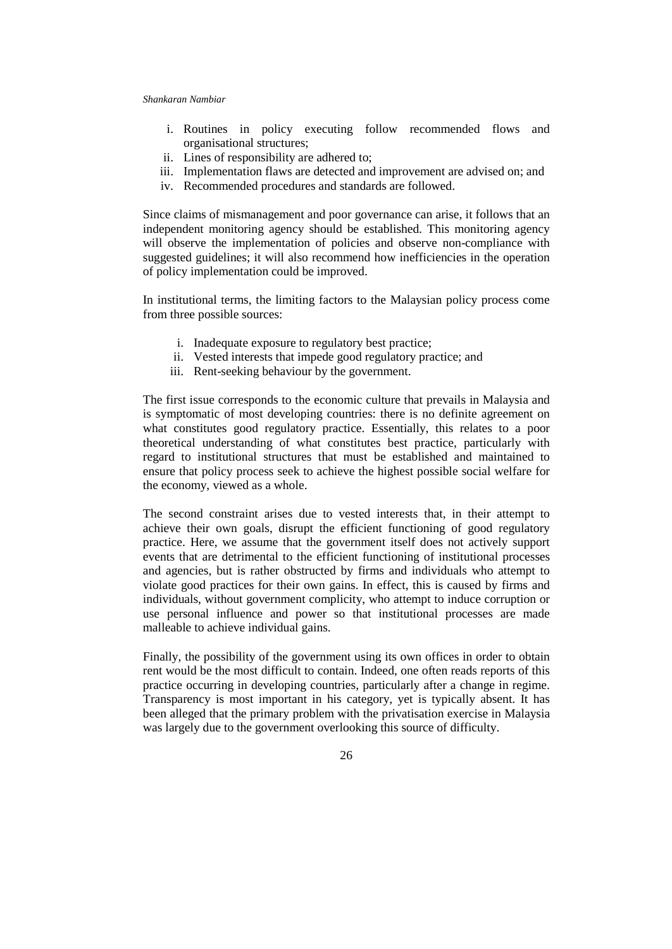- i. Routines in policy executing follow recommended flows and organisational structures;
- ii. Lines of responsibility are adhered to;
- iii. Implementation flaws are detected and improvement are advised on; and
- iv. Recommended procedures and standards are followed.

Since claims of mismanagement and poor governance can arise, it follows that an independent monitoring agency should be established. This monitoring agency will observe the implementation of policies and observe non-compliance with suggested guidelines; it will also recommend how inefficiencies in the operation of policy implementation could be improved.

In institutional terms, the limiting factors to the Malaysian policy process come from three possible sources:

- i. Inadequate exposure to regulatory best practice;
- ii. Vested interests that impede good regulatory practice; and
- iii. Rent-seeking behaviour by the government.

The first issue corresponds to the economic culture that prevails in Malaysia and is symptomatic of most developing countries: there is no definite agreement on what constitutes good regulatory practice. Essentially, this relates to a poor theoretical understanding of what constitutes best practice, particularly with regard to institutional structures that must be established and maintained to ensure that policy process seek to achieve the highest possible social welfare for the economy, viewed as a whole.

The second constraint arises due to vested interests that, in their attempt to achieve their own goals, disrupt the efficient functioning of good regulatory practice. Here, we assume that the government itself does not actively support events that are detrimental to the efficient functioning of institutional processes and agencies, but is rather obstructed by firms and individuals who attempt to violate good practices for their own gains. In effect, this is caused by firms and individuals, without government complicity, who attempt to induce corruption or use personal influence and power so that institutional processes are made malleable to achieve individual gains.

Finally, the possibility of the government using its own offices in order to obtain rent would be the most difficult to contain. Indeed, one often reads reports of this practice occurring in developing countries, particularly after a change in regime. Transparency is most important in his category, yet is typically absent. It has been alleged that the primary problem with the privatisation exercise in Malaysia was largely due to the government overlooking this source of difficulty.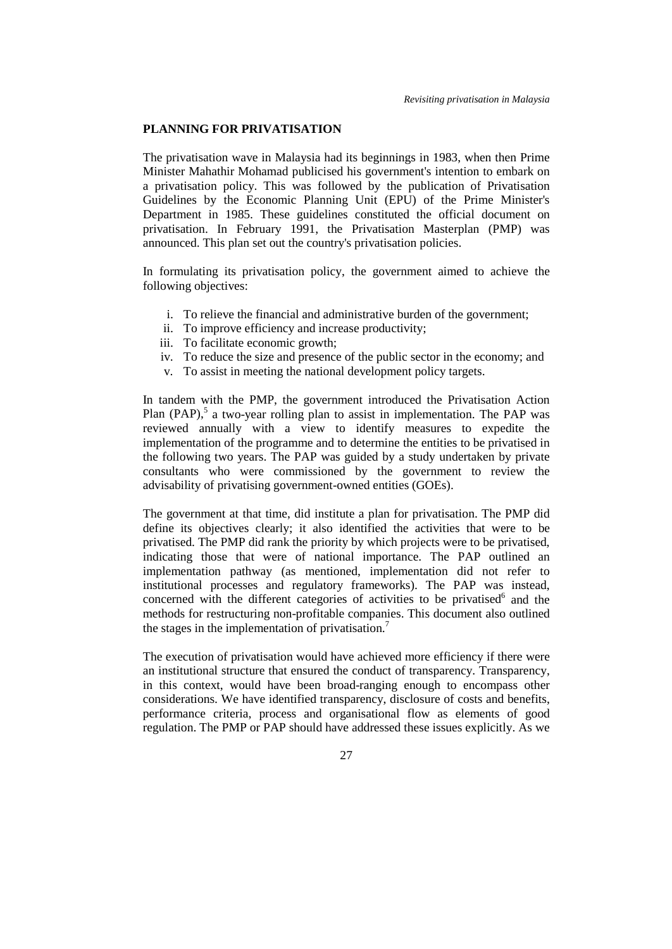## **PLANNING FOR PRIVATISATION**

The privatisation wave in Malaysia had its beginnings in 1983, when then Prime Minister Mahathir Mohamad publicised his government's intention to embark on a privatisation policy. This was followed by the publication of Privatisation Guidelines by the Economic Planning Unit (EPU) of the Prime Minister's Department in 1985. These guidelines constituted the official document on privatisation. In February 1991, the Privatisation Masterplan (PMP) was announced. This plan set out the country's privatisation policies.

In formulating its privatisation policy, the government aimed to achieve the following objectives:

- i. To relieve the financial and administrative burden of the government;
- ii. To improve efficiency and increase productivity;
- iii. To facilitate economic growth;
- iv. To reduce the size and presence of the public sector in the economy; and
- v. To assist in meeting the national development policy targets.

In tandem with the PMP, the government introduced the Privatisation Action Plan (PAP),<sup>5</sup> a two-year rolling plan to assist in implementation. The PAP was reviewed annually with a view to identify measures to expedite the implementation of the programme and to determine the entities to be privatised in the following two years. The PAP was guided by a study undertaken by private consultants who were commissioned by the government to review the advisability of privatising government-owned entities (GOEs).

The government at that time, did institute a plan for privatisation. The PMP did define its objectives clearly; it also identified the activities that were to be privatised. The PMP did rank the priority by which projects were to be privatised, indicating those that were of national importance. The PAP outlined an implementation pathway (as mentioned, implementation did not refer to institutional processes and regulatory frameworks). The PAP was instead, concerned with the different categories of activities to be privatised $<sup>6</sup>$  and the</sup> methods for restructuring non-profitable companies. This document also outlined the stages in the implementation of privatisation.<sup>7</sup>

The execution of privatisation would have achieved more efficiency if there were an institutional structure that ensured the conduct of transparency. Transparency, in this context, would have been broad-ranging enough to encompass other considerations. We have identified transparency, disclosure of costs and benefits, performance criteria, process and organisational flow as elements of good regulation. The PMP or PAP should have addressed these issues explicitly. As we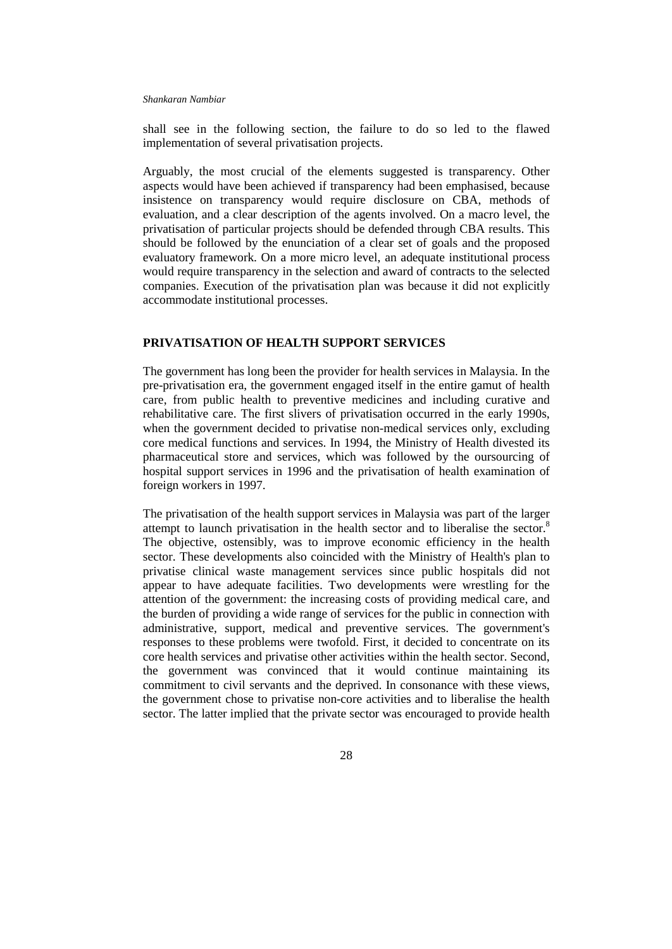shall see in the following section, the failure to do so led to the flawed implementation of several privatisation projects.

Arguably, the most crucial of the elements suggested is transparency. Other aspects would have been achieved if transparency had been emphasised, because insistence on transparency would require disclosure on CBA, methods of evaluation, and a clear description of the agents involved. On a macro level, the privatisation of particular projects should be defended through CBA results. This should be followed by the enunciation of a clear set of goals and the proposed evaluatory framework. On a more micro level, an adequate institutional process would require transparency in the selection and award of contracts to the selected companies. Execution of the privatisation plan was because it did not explicitly accommodate institutional processes.

## **PRIVATISATION OF HEALTH SUPPORT SERVICES**

The government has long been the provider for health services in Malaysia. In the pre-privatisation era, the government engaged itself in the entire gamut of health care, from public health to preventive medicines and including curative and rehabilitative care. The first slivers of privatisation occurred in the early 1990s, when the government decided to privatise non-medical services only, excluding core medical functions and services. In 1994, the Ministry of Health divested its pharmaceutical store and services, which was followed by the oursourcing of hospital support services in 1996 and the privatisation of health examination of foreign workers in 1997.

The privatisation of the health support services in Malaysia was part of the larger attempt to launch privatisation in the health sector and to liberalise the sector.<sup>8</sup> The objective, ostensibly, was to improve economic efficiency in the health sector. These developments also coincided with the Ministry of Health's plan to privatise clinical waste management services since public hospitals did not appear to have adequate facilities. Two developments were wrestling for the attention of the government: the increasing costs of providing medical care, and the burden of providing a wide range of services for the public in connection with administrative, support, medical and preventive services. The government's responses to these problems were twofold. First, it decided to concentrate on its core health services and privatise other activities within the health sector. Second, the government was convinced that it would continue maintaining its commitment to civil servants and the deprived. In consonance with these views, the government chose to privatise non-core activities and to liberalise the health sector. The latter implied that the private sector was encouraged to provide health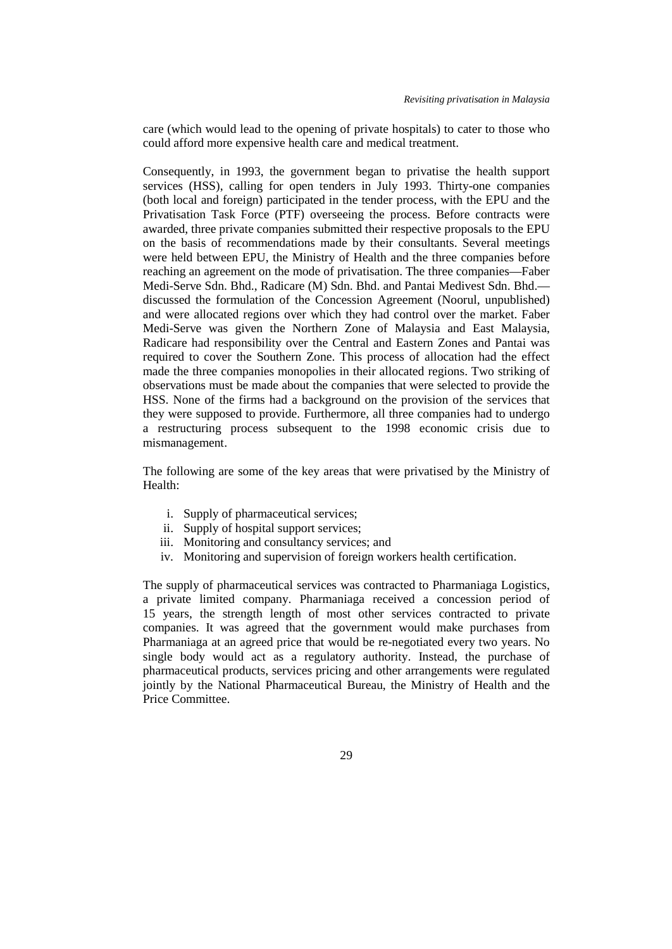care (which would lead to the opening of private hospitals) to cater to those who could afford more expensive health care and medical treatment.

Consequently, in 1993, the government began to privatise the health support services (HSS), calling for open tenders in July 1993. Thirty-one companies (both local and foreign) participated in the tender process, with the EPU and the Privatisation Task Force (PTF) overseeing the process. Before contracts were awarded, three private companies submitted their respective proposals to the EPU on the basis of recommendations made by their consultants. Several meetings were held between EPU, the Ministry of Health and the three companies before reaching an agreement on the mode of privatisation. The three companies—Faber Medi-Serve Sdn. Bhd., Radicare (M) Sdn. Bhd. and Pantai Medivest Sdn. Bhd. discussed the formulation of the Concession Agreement (Noorul, unpublished) and were allocated regions over which they had control over the market. Faber Medi-Serve was given the Northern Zone of Malaysia and East Malaysia, Radicare had responsibility over the Central and Eastern Zones and Pantai was required to cover the Southern Zone. This process of allocation had the effect made the three companies monopolies in their allocated regions. Two striking of observations must be made about the companies that were selected to provide the HSS. None of the firms had a background on the provision of the services that they were supposed to provide. Furthermore, all three companies had to undergo a restructuring process subsequent to the 1998 economic crisis due to mismanagement.

The following are some of the key areas that were privatised by the Ministry of Health:

- i. Supply of pharmaceutical services;
- ii. Supply of hospital support services;
- iii. Monitoring and consultancy services; and
- iv. Monitoring and supervision of foreign workers health certification.

The supply of pharmaceutical services was contracted to Pharmaniaga Logistics, a private limited company. Pharmaniaga received a concession period of 15 years, the strength length of most other services contracted to private companies. It was agreed that the government would make purchases from Pharmaniaga at an agreed price that would be re-negotiated every two years. No single body would act as a regulatory authority. Instead, the purchase of pharmaceutical products, services pricing and other arrangements were regulated jointly by the National Pharmaceutical Bureau, the Ministry of Health and the Price Committee.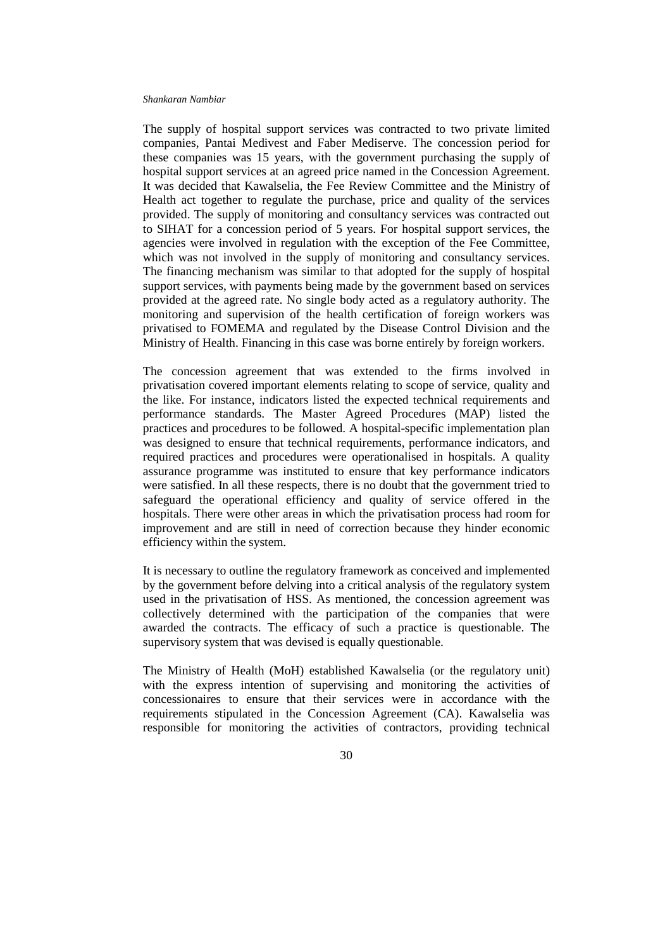The supply of hospital support services was contracted to two private limited companies, Pantai Medivest and Faber Mediserve. The concession period for these companies was 15 years, with the government purchasing the supply of hospital support services at an agreed price named in the Concession Agreement. It was decided that Kawalselia, the Fee Review Committee and the Ministry of Health act together to regulate the purchase, price and quality of the services provided. The supply of monitoring and consultancy services was contracted out to SIHAT for a concession period of 5 years. For hospital support services, the agencies were involved in regulation with the exception of the Fee Committee, which was not involved in the supply of monitoring and consultancy services. The financing mechanism was similar to that adopted for the supply of hospital support services, with payments being made by the government based on services provided at the agreed rate. No single body acted as a regulatory authority. The monitoring and supervision of the health certification of foreign workers was privatised to FOMEMA and regulated by the Disease Control Division and the Ministry of Health. Financing in this case was borne entirely by foreign workers.

The concession agreement that was extended to the firms involved in privatisation covered important elements relating to scope of service, quality and the like. For instance, indicators listed the expected technical requirements and performance standards. The Master Agreed Procedures (MAP) listed the practices and procedures to be followed. A hospital-specific implementation plan was designed to ensure that technical requirements, performance indicators, and required practices and procedures were operationalised in hospitals. A quality assurance programme was instituted to ensure that key performance indicators were satisfied. In all these respects, there is no doubt that the government tried to safeguard the operational efficiency and quality of service offered in the hospitals. There were other areas in which the privatisation process had room for improvement and are still in need of correction because they hinder economic efficiency within the system.

It is necessary to outline the regulatory framework as conceived and implemented by the government before delving into a critical analysis of the regulatory system used in the privatisation of HSS. As mentioned, the concession agreement was collectively determined with the participation of the companies that were awarded the contracts. The efficacy of such a practice is questionable. The supervisory system that was devised is equally questionable.

The Ministry of Health (MoH) established Kawalselia (or the regulatory unit) with the express intention of supervising and monitoring the activities of concessionaires to ensure that their services were in accordance with the requirements stipulated in the Concession Agreement (CA). Kawalselia was responsible for monitoring the activities of contractors, providing technical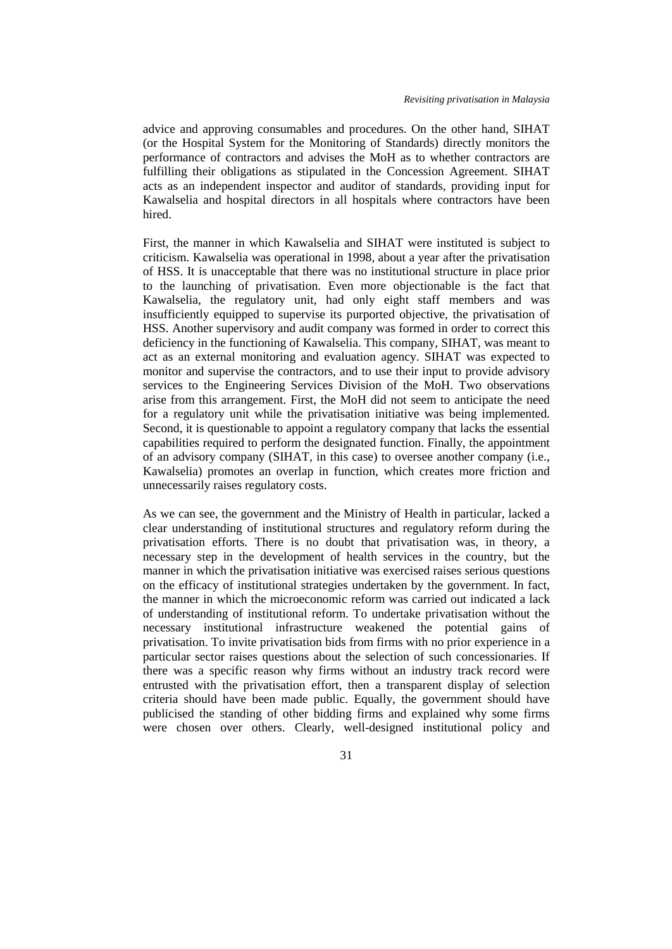advice and approving consumables and procedures. On the other hand, SIHAT (or the Hospital System for the Monitoring of Standards) directly monitors the performance of contractors and advises the MoH as to whether contractors are fulfilling their obligations as stipulated in the Concession Agreement. SIHAT acts as an independent inspector and auditor of standards, providing input for Kawalselia and hospital directors in all hospitals where contractors have been hired.

First, the manner in which Kawalselia and SIHAT were instituted is subject to criticism. Kawalselia was operational in 1998, about a year after the privatisation of HSS. It is unacceptable that there was no institutional structure in place prior to the launching of privatisation. Even more objectionable is the fact that Kawalselia, the regulatory unit, had only eight staff members and was insufficiently equipped to supervise its purported objective, the privatisation of HSS. Another supervisory and audit company was formed in order to correct this deficiency in the functioning of Kawalselia. This company, SIHAT, was meant to act as an external monitoring and evaluation agency. SIHAT was expected to monitor and supervise the contractors, and to use their input to provide advisory services to the Engineering Services Division of the MoH. Two observations arise from this arrangement. First, the MoH did not seem to anticipate the need for a regulatory unit while the privatisation initiative was being implemented. Second, it is questionable to appoint a regulatory company that lacks the essential capabilities required to perform the designated function. Finally, the appointment of an advisory company (SIHAT, in this case) to oversee another company (i.e., Kawalselia) promotes an overlap in function, which creates more friction and unnecessarily raises regulatory costs.

As we can see, the government and the Ministry of Health in particular, lacked a clear understanding of institutional structures and regulatory reform during the privatisation efforts. There is no doubt that privatisation was, in theory, a necessary step in the development of health services in the country, but the manner in which the privatisation initiative was exercised raises serious questions on the efficacy of institutional strategies undertaken by the government. In fact, the manner in which the microeconomic reform was carried out indicated a lack of understanding of institutional reform. To undertake privatisation without the necessary institutional infrastructure weakened the potential gains of privatisation. To invite privatisation bids from firms with no prior experience in a particular sector raises questions about the selection of such concessionaries. If there was a specific reason why firms without an industry track record were entrusted with the privatisation effort, then a transparent display of selection criteria should have been made public. Equally, the government should have publicised the standing of other bidding firms and explained why some firms were chosen over others. Clearly, well-designed institutional policy and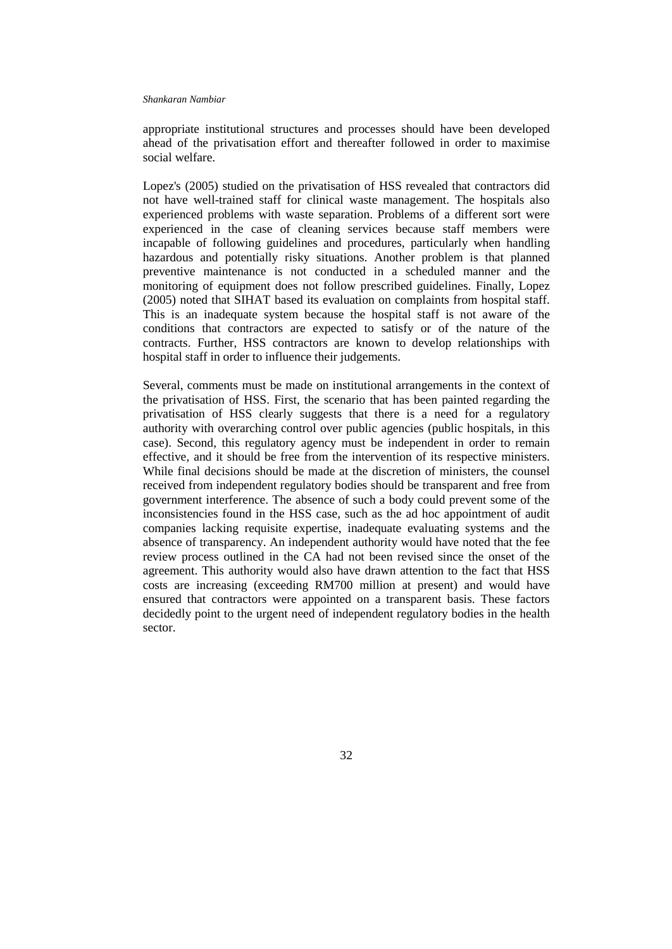appropriate institutional structures and processes should have been developed ahead of the privatisation effort and thereafter followed in order to maximise social welfare.

Lopez's (2005) studied on the privatisation of HSS revealed that contractors did not have well-trained staff for clinical waste management. The hospitals also experienced problems with waste separation. Problems of a different sort were experienced in the case of cleaning services because staff members were incapable of following guidelines and procedures, particularly when handling hazardous and potentially risky situations. Another problem is that planned preventive maintenance is not conducted in a scheduled manner and the monitoring of equipment does not follow prescribed guidelines. Finally, Lopez (2005) noted that SIHAT based its evaluation on complaints from hospital staff. This is an inadequate system because the hospital staff is not aware of the conditions that contractors are expected to satisfy or of the nature of the contracts. Further, HSS contractors are known to develop relationships with hospital staff in order to influence their judgements.

Several, comments must be made on institutional arrangements in the context of the privatisation of HSS. First, the scenario that has been painted regarding the privatisation of HSS clearly suggests that there is a need for a regulatory authority with overarching control over public agencies (public hospitals, in this case). Second, this regulatory agency must be independent in order to remain effective, and it should be free from the intervention of its respective ministers. While final decisions should be made at the discretion of ministers, the counsel received from independent regulatory bodies should be transparent and free from government interference. The absence of such a body could prevent some of the inconsistencies found in the HSS case, such as the ad hoc appointment of audit companies lacking requisite expertise, inadequate evaluating systems and the absence of transparency. An independent authority would have noted that the fee review process outlined in the CA had not been revised since the onset of the agreement. This authority would also have drawn attention to the fact that HSS costs are increasing (exceeding RM700 million at present) and would have ensured that contractors were appointed on a transparent basis. These factors decidedly point to the urgent need of independent regulatory bodies in the health sector.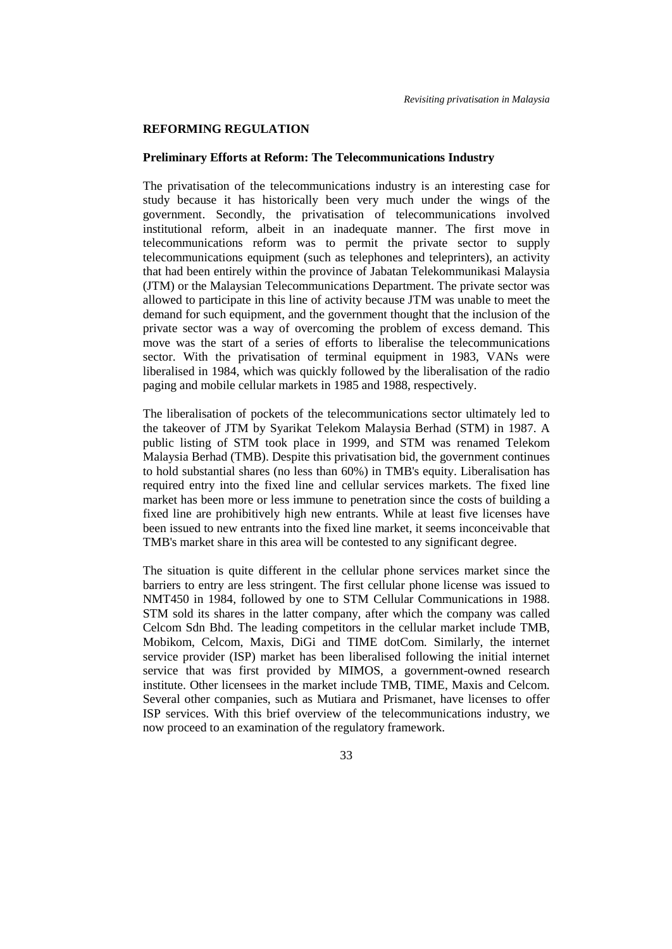### **REFORMING REGULATION**

### **Preliminary Efforts at Reform: The Telecommunications Industry**

The privatisation of the telecommunications industry is an interesting case for study because it has historically been very much under the wings of the government. Secondly, the privatisation of telecommunications involved institutional reform, albeit in an inadequate manner. The first move in telecommunications reform was to permit the private sector to supply telecommunications equipment (such as telephones and teleprinters), an activity that had been entirely within the province of Jabatan Telekommunikasi Malaysia (JTM) or the Malaysian Telecommunications Department. The private sector was allowed to participate in this line of activity because JTM was unable to meet the demand for such equipment, and the government thought that the inclusion of the private sector was a way of overcoming the problem of excess demand. This move was the start of a series of efforts to liberalise the telecommunications sector. With the privatisation of terminal equipment in 1983, VANs were liberalised in 1984, which was quickly followed by the liberalisation of the radio paging and mobile cellular markets in 1985 and 1988, respectively.

The liberalisation of pockets of the telecommunications sector ultimately led to the takeover of JTM by Syarikat Telekom Malaysia Berhad (STM) in 1987. A public listing of STM took place in 1999, and STM was renamed Telekom Malaysia Berhad (TMB). Despite this privatisation bid, the government continues to hold substantial shares (no less than 60%) in TMB's equity. Liberalisation has required entry into the fixed line and cellular services markets. The fixed line market has been more or less immune to penetration since the costs of building a fixed line are prohibitively high new entrants. While at least five licenses have been issued to new entrants into the fixed line market, it seems inconceivable that TMB's market share in this area will be contested to any significant degree.

The situation is quite different in the cellular phone services market since the barriers to entry are less stringent. The first cellular phone license was issued to NMT450 in 1984, followed by one to STM Cellular Communications in 1988. STM sold its shares in the latter company, after which the company was called Celcom Sdn Bhd. The leading competitors in the cellular market include TMB, Mobikom, Celcom, Maxis, DiGi and TIME dotCom. Similarly, the internet service provider (ISP) market has been liberalised following the initial internet service that was first provided by MIMOS, a government-owned research institute. Other licensees in the market include TMB, TIME, Maxis and Celcom. Several other companies, such as Mutiara and Prismanet, have licenses to offer ISP services. With this brief overview of the telecommunications industry, we now proceed to an examination of the regulatory framework.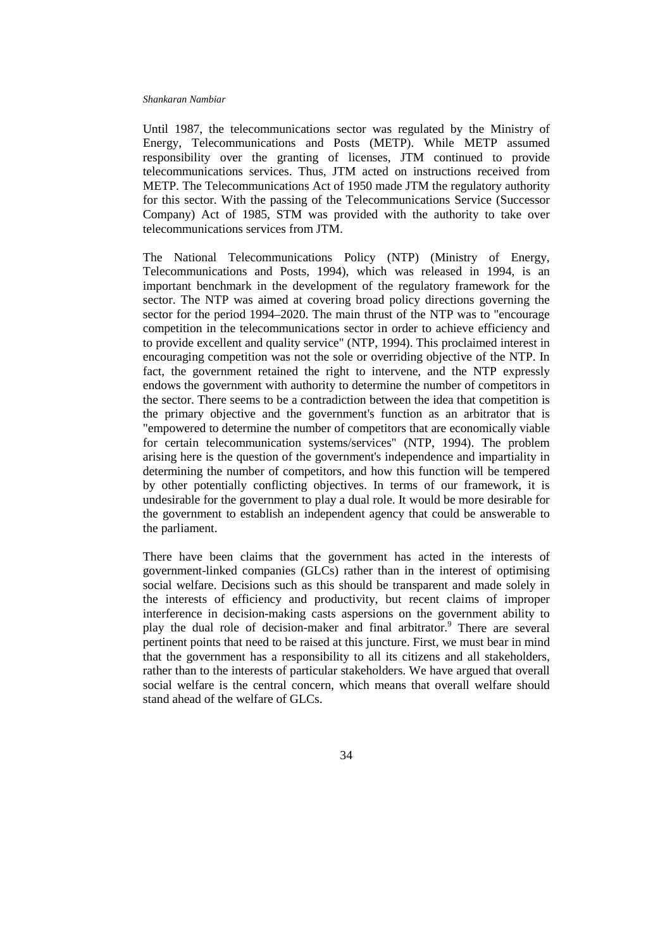Until 1987, the telecommunications sector was regulated by the Ministry of Energy, Telecommunications and Posts (METP). While METP assumed responsibility over the granting of licenses, JTM continued to provide telecommunications services. Thus, JTM acted on instructions received from METP. The Telecommunications Act of 1950 made JTM the regulatory authority for this sector. With the passing of the Telecommunications Service (Successor Company) Act of 1985, STM was provided with the authority to take over telecommunications services from JTM.

The National Telecommunications Policy (NTP) (Ministry of Energy, Telecommunications and Posts, 1994), which was released in 1994, is an important benchmark in the development of the regulatory framework for the sector. The NTP was aimed at covering broad policy directions governing the sector for the period 1994–2020. The main thrust of the NTP was to "encourage competition in the telecommunications sector in order to achieve efficiency and to provide excellent and quality service" (NTP, 1994). This proclaimed interest in encouraging competition was not the sole or overriding objective of the NTP. In fact, the government retained the right to intervene, and the NTP expressly endows the government with authority to determine the number of competitors in the sector. There seems to be a contradiction between the idea that competition is the primary objective and the government's function as an arbitrator that is "empowered to determine the number of competitors that are economically viable for certain telecommunication systems/services" (NTP, 1994). The problem arising here is the question of the government's independence and impartiality in determining the number of competitors, and how this function will be tempered by other potentially conflicting objectives. In terms of our framework, it is undesirable for the government to play a dual role. It would be more desirable for the government to establish an independent agency that could be answerable to the parliament.

There have been claims that the government has acted in the interests of government-linked companies (GLCs) rather than in the interest of optimising social welfare. Decisions such as this should be transparent and made solely in the interests of efficiency and productivity, but recent claims of improper interference in decision-making casts aspersions on the government ability to play the dual role of decision-maker and final arbitrator.<sup>9</sup> There are several pertinent points that need to be raised at this juncture. First, we must bear in mind that the government has a responsibility to all its citizens and all stakeholders, rather than to the interests of particular stakeholders. We have argued that overall social welfare is the central concern, which means that overall welfare should stand ahead of the welfare of GLCs.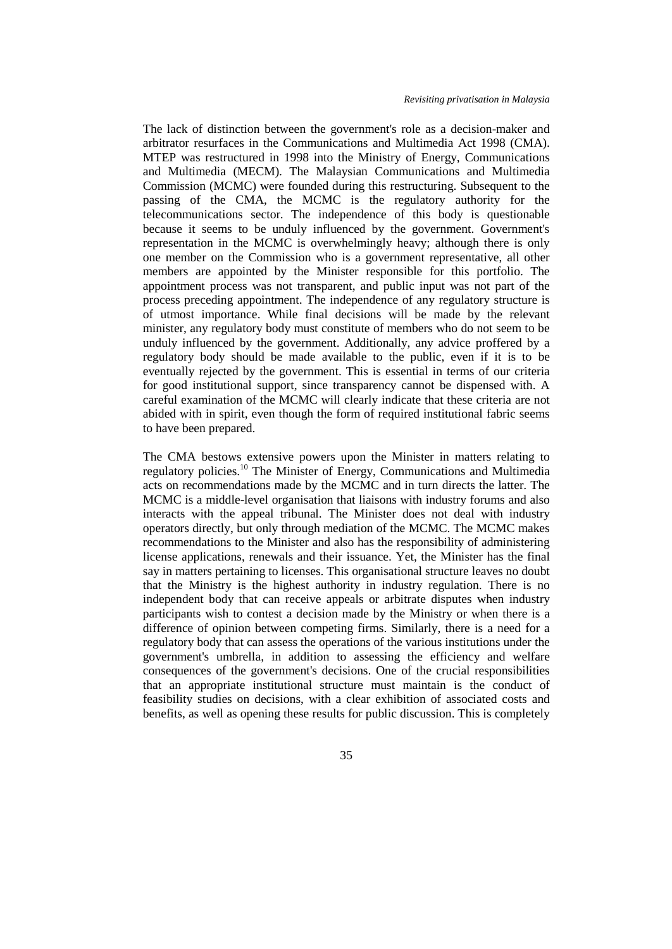The lack of distinction between the government's role as a decision-maker and arbitrator resurfaces in the Communications and Multimedia Act 1998 (CMA). MTEP was restructured in 1998 into the Ministry of Energy, Communications and Multimedia (MECM). The Malaysian Communications and Multimedia Commission (MCMC) were founded during this restructuring. Subsequent to the passing of the CMA, the MCMC is the regulatory authority for the telecommunications sector. The independence of this body is questionable because it seems to be unduly influenced by the government. Government's representation in the MCMC is overwhelmingly heavy; although there is only one member on the Commission who is a government representative, all other members are appointed by the Minister responsible for this portfolio. The appointment process was not transparent, and public input was not part of the process preceding appointment. The independence of any regulatory structure is of utmost importance. While final decisions will be made by the relevant minister, any regulatory body must constitute of members who do not seem to be unduly influenced by the government. Additionally, any advice proffered by a regulatory body should be made available to the public, even if it is to be eventually rejected by the government. This is essential in terms of our criteria for good institutional support, since transparency cannot be dispensed with. A careful examination of the MCMC will clearly indicate that these criteria are not abided with in spirit, even though the form of required institutional fabric seems to have been prepared.

The CMA bestows extensive powers upon the Minister in matters relating to regulatory policies.10 The Minister of Energy, Communications and Multimedia acts on recommendations made by the MCMC and in turn directs the latter. The MCMC is a middle-level organisation that liaisons with industry forums and also interacts with the appeal tribunal. The Minister does not deal with industry operators directly, but only through mediation of the MCMC. The MCMC makes recommendations to the Minister and also has the responsibility of administering license applications, renewals and their issuance. Yet, the Minister has the final say in matters pertaining to licenses. This organisational structure leaves no doubt that the Ministry is the highest authority in industry regulation. There is no independent body that can receive appeals or arbitrate disputes when industry participants wish to contest a decision made by the Ministry or when there is a difference of opinion between competing firms. Similarly, there is a need for a regulatory body that can assess the operations of the various institutions under the government's umbrella, in addition to assessing the efficiency and welfare consequences of the government's decisions. One of the crucial responsibilities that an appropriate institutional structure must maintain is the conduct of feasibility studies on decisions, with a clear exhibition of associated costs and benefits, as well as opening these results for public discussion. This is completely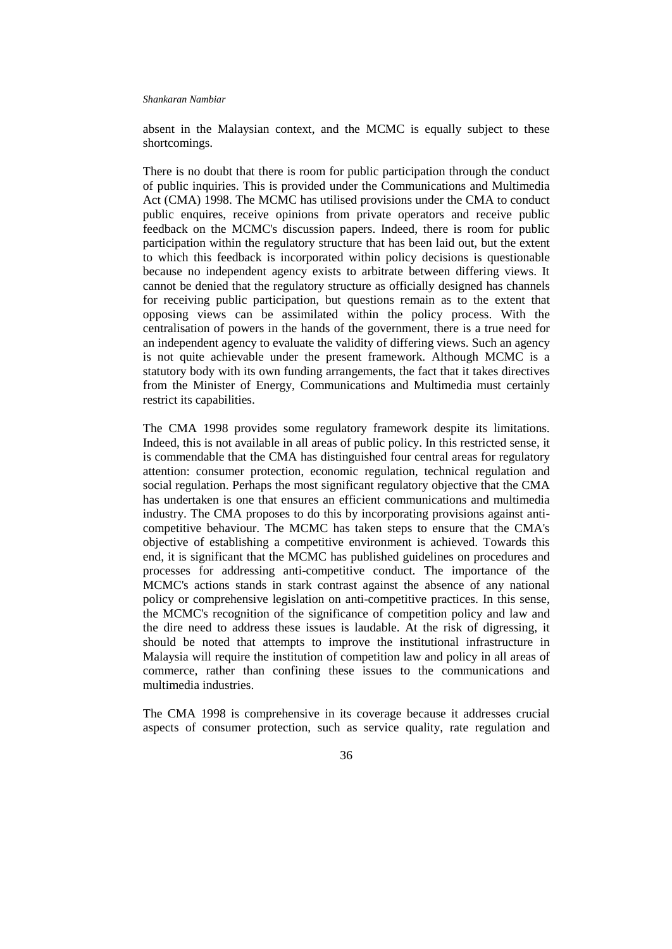absent in the Malaysian context, and the MCMC is equally subject to these shortcomings.

There is no doubt that there is room for public participation through the conduct of public inquiries. This is provided under the Communications and Multimedia Act (CMA) 1998. The MCMC has utilised provisions under the CMA to conduct public enquires, receive opinions from private operators and receive public feedback on the MCMC's discussion papers. Indeed, there is room for public participation within the regulatory structure that has been laid out, but the extent to which this feedback is incorporated within policy decisions is questionable because no independent agency exists to arbitrate between differing views. It cannot be denied that the regulatory structure as officially designed has channels for receiving public participation, but questions remain as to the extent that opposing views can be assimilated within the policy process. With the centralisation of powers in the hands of the government, there is a true need for an independent agency to evaluate the validity of differing views. Such an agency is not quite achievable under the present framework. Although MCMC is a statutory body with its own funding arrangements, the fact that it takes directives from the Minister of Energy, Communications and Multimedia must certainly restrict its capabilities.

The CMA 1998 provides some regulatory framework despite its limitations. Indeed, this is not available in all areas of public policy. In this restricted sense, it is commendable that the CMA has distinguished four central areas for regulatory attention: consumer protection, economic regulation, technical regulation and social regulation. Perhaps the most significant regulatory objective that the CMA has undertaken is one that ensures an efficient communications and multimedia industry. The CMA proposes to do this by incorporating provisions against anticompetitive behaviour. The MCMC has taken steps to ensure that the CMA's objective of establishing a competitive environment is achieved. Towards this end, it is significant that the MCMC has published guidelines on procedures and processes for addressing anti-competitive conduct. The importance of the MCMC's actions stands in stark contrast against the absence of any national policy or comprehensive legislation on anti-competitive practices. In this sense, the MCMC's recognition of the significance of competition policy and law and the dire need to address these issues is laudable. At the risk of digressing, it should be noted that attempts to improve the institutional infrastructure in Malaysia will require the institution of competition law and policy in all areas of commerce, rather than confining these issues to the communications and multimedia industries.

The CMA 1998 is comprehensive in its coverage because it addresses crucial aspects of consumer protection, such as service quality, rate regulation and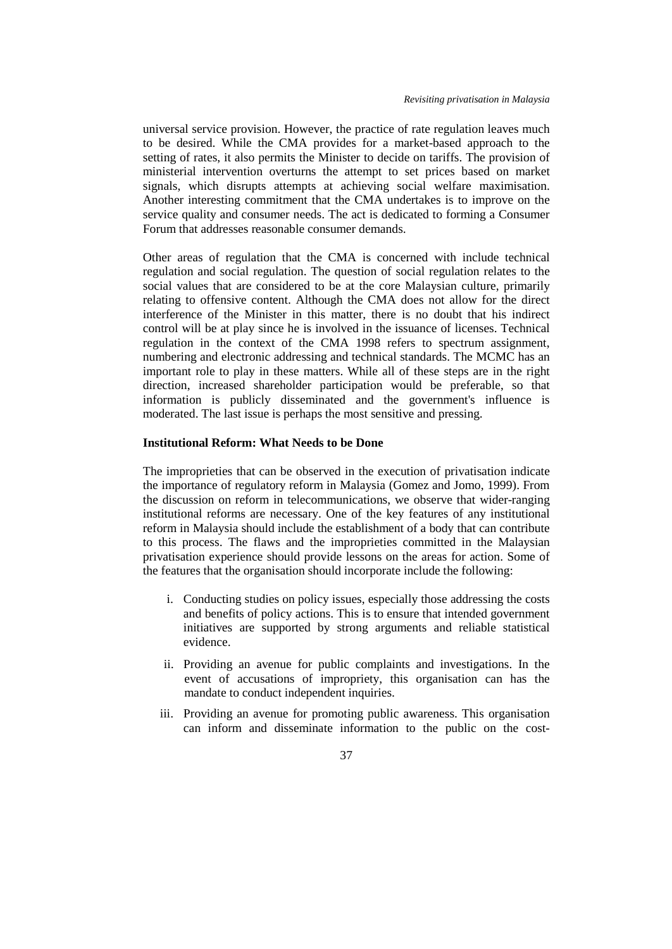universal service provision. However, the practice of rate regulation leaves much to be desired. While the CMA provides for a market-based approach to the setting of rates, it also permits the Minister to decide on tariffs. The provision of ministerial intervention overturns the attempt to set prices based on market signals, which disrupts attempts at achieving social welfare maximisation. Another interesting commitment that the CMA undertakes is to improve on the service quality and consumer needs. The act is dedicated to forming a Consumer Forum that addresses reasonable consumer demands.

Other areas of regulation that the CMA is concerned with include technical regulation and social regulation. The question of social regulation relates to the social values that are considered to be at the core Malaysian culture, primarily relating to offensive content. Although the CMA does not allow for the direct interference of the Minister in this matter, there is no doubt that his indirect control will be at play since he is involved in the issuance of licenses. Technical regulation in the context of the CMA 1998 refers to spectrum assignment, numbering and electronic addressing and technical standards. The MCMC has an important role to play in these matters. While all of these steps are in the right direction, increased shareholder participation would be preferable, so that information is publicly disseminated and the government's influence is moderated. The last issue is perhaps the most sensitive and pressing.

## **Institutional Reform: What Needs to be Done**

The improprieties that can be observed in the execution of privatisation indicate the importance of regulatory reform in Malaysia (Gomez and Jomo, 1999). From the discussion on reform in telecommunications, we observe that wider-ranging institutional reforms are necessary. One of the key features of any institutional reform in Malaysia should include the establishment of a body that can contribute to this process. The flaws and the improprieties committed in the Malaysian privatisation experience should provide lessons on the areas for action. Some of the features that the organisation should incorporate include the following:

- i. Conducting studies on policy issues, especially those addressing the costs and benefits of policy actions. This is to ensure that intended government initiatives are supported by strong arguments and reliable statistical evidence.
- ii. Providing an avenue for public complaints and investigations. In the event of accusations of impropriety, this organisation can has the mandate to conduct independent inquiries.
- iii. Providing an avenue for promoting public awareness. This organisation can inform and disseminate information to the public on the cost-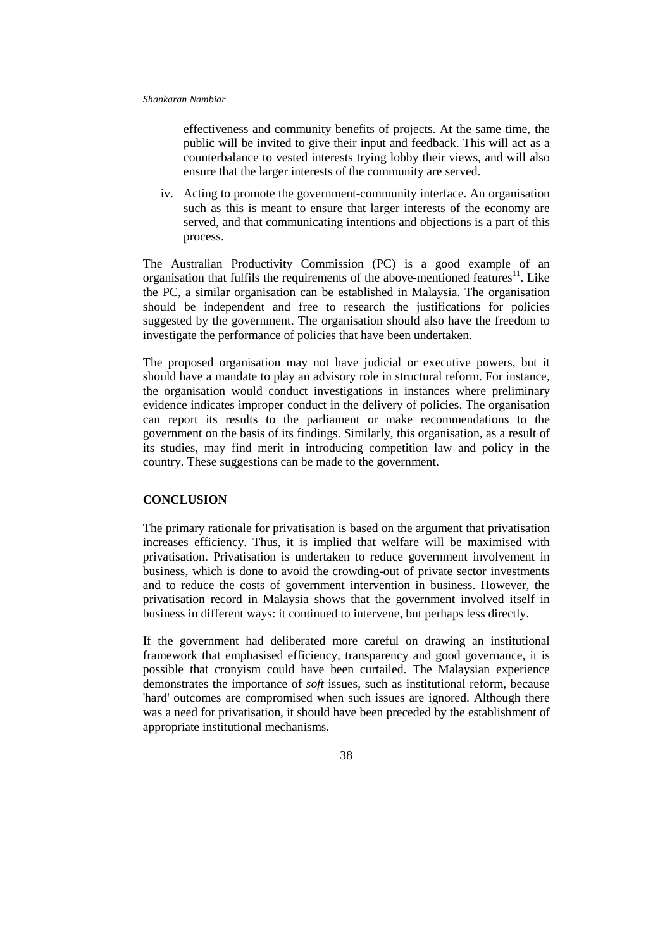effectiveness and community benefits of projects. At the same time, the public will be invited to give their input and feedback. This will act as a counterbalance to vested interests trying lobby their views, and will also ensure that the larger interests of the community are served.

iv. Acting to promote the government-community interface. An organisation such as this is meant to ensure that larger interests of the economy are served, and that communicating intentions and objections is a part of this process.

The Australian Productivity Commission (PC) is a good example of an organisation that fulfils the requirements of the above-mentioned features $11$ . Like the PC, a similar organisation can be established in Malaysia. The organisation should be independent and free to research the justifications for policies suggested by the government. The organisation should also have the freedom to investigate the performance of policies that have been undertaken.

The proposed organisation may not have judicial or executive powers, but it should have a mandate to play an advisory role in structural reform. For instance, the organisation would conduct investigations in instances where preliminary evidence indicates improper conduct in the delivery of policies. The organisation can report its results to the parliament or make recommendations to the government on the basis of its findings. Similarly, this organisation, as a result of its studies, may find merit in introducing competition law and policy in the country. These suggestions can be made to the government.

## **CONCLUSION**

The primary rationale for privatisation is based on the argument that privatisation increases efficiency. Thus, it is implied that welfare will be maximised with privatisation. Privatisation is undertaken to reduce government involvement in business, which is done to avoid the crowding-out of private sector investments and to reduce the costs of government intervention in business. However, the privatisation record in Malaysia shows that the government involved itself in business in different ways: it continued to intervene, but perhaps less directly.

If the government had deliberated more careful on drawing an institutional framework that emphasised efficiency, transparency and good governance, it is possible that cronyism could have been curtailed. The Malaysian experience demonstrates the importance of *soft* issues, such as institutional reform, because 'hard' outcomes are compromised when such issues are ignored. Although there was a need for privatisation, it should have been preceded by the establishment of appropriate institutional mechanisms.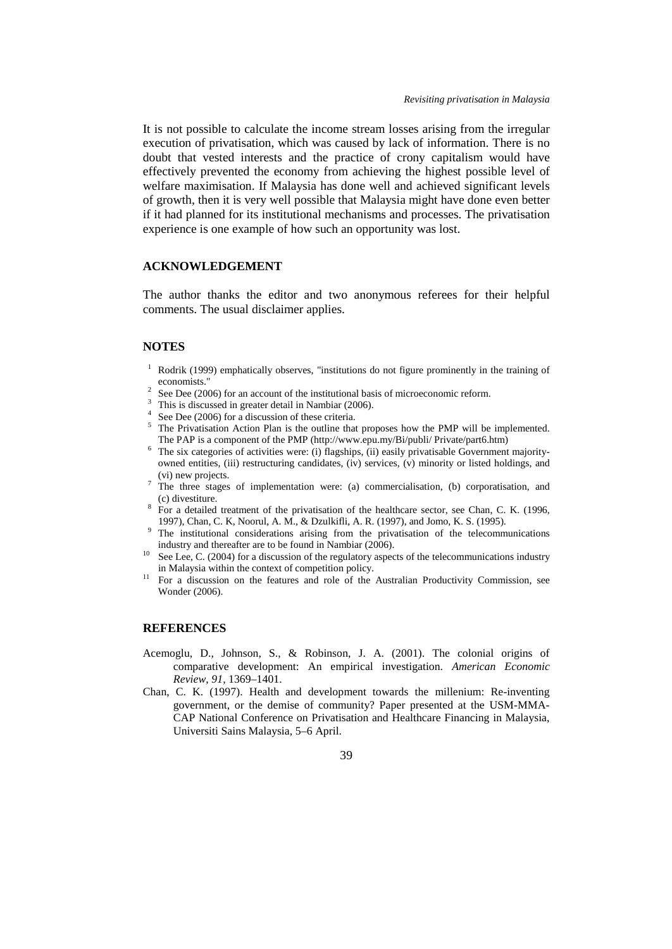It is not possible to calculate the income stream losses arising from the irregular execution of privatisation, which was caused by lack of information. There is no doubt that vested interests and the practice of crony capitalism would have effectively prevented the economy from achieving the highest possible level of welfare maximisation. If Malaysia has done well and achieved significant levels of growth, then it is very well possible that Malaysia might have done even better if it had planned for its institutional mechanisms and processes. The privatisation experience is one example of how such an opportunity was lost.

## **ACKNOWLEDGEMENT**

The author thanks the editor and two anonymous referees for their helpful comments. The usual disclaimer applies.

## **NOTES**

- $1$  Rodrik (1999) emphatically observes, "institutions do not figure prominently in the training of
- 
- 
- 
- economists."<br>
<sup>2</sup> See Dee (2006) for an account of the institutional basis of microeconomic reform.<br>
<sup>3</sup> This is discussed in greater detail in Nambiar (2006).<br>
<sup>4</sup> See Dee (2006) for a discussion of these criteria.<br>
<sup>5</sup> The PAP is a component of the PMP (http://www.epu.my/Bi/publi/ Private/part6.htm)<br>
<sup>6</sup> The six categories of activities were: (i) flagships, (ii) easily privatisable Government majority-
- owned entities, (iii) restructuring candidates, (iv) services, (v) minority or listed holdings, and (vi) new projects.
- <sup>7</sup> The three stages of implementation were: (a) commercialisation, (b) corporatisation, and (c) divestiture. 8 For a detailed treatment of the privatisation of the healthcare sector, see Chan, C. K. (1996,
- 
- 1997), Chan, C. K, Noorul, A. M., & Dzulkifli, A. R. (1997), and Jomo, K. S. (1995).<br><sup>9</sup> The institutional considerations arising from the privatisation of the telecommunications industry and thereafter are to be found in
- See Lee, C. (2004) for a discussion of the regulatory aspects of the telecommunications industry in Malaysia within the context of competition policy.<br><sup>11</sup> For a discussion on the features and role of the Australian Productivity Commission, see
- Wonder (2006).

### **REFERENCES**

- Acemoglu, D., Johnson, S., & Robinson, J. A. (2001). The colonial origins of comparative development: An empirical investigation. *American Economic Review*, *91,* 1369–1401.
- Chan, C. K. (1997). Health and development towards the millenium: Re-inventing government, or the demise of community? Paper presented at the USM-MMA-CAP National Conference on Privatisation and Healthcare Financing in Malaysia, Universiti Sains Malaysia, 5–6 April.